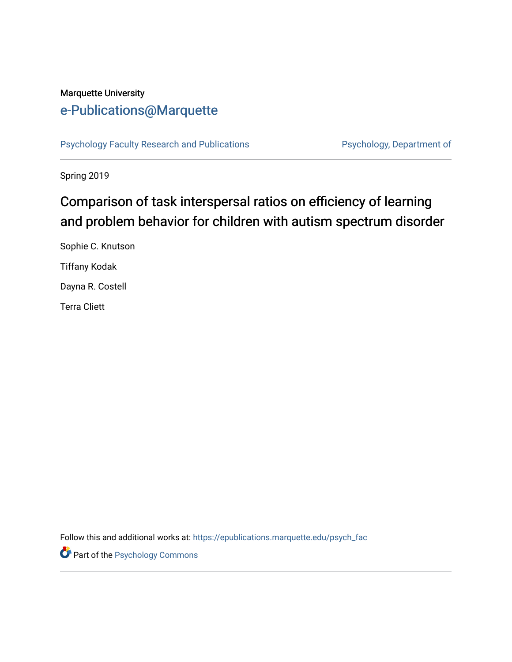# Marquette University [e-Publications@Marquette](https://epublications.marquette.edu/)

[Psychology Faculty Research and Publications](https://epublications.marquette.edu/psych_fac) Psychology, Department of

Spring 2019

# Comparison of task interspersal ratios on efficiency of learning and problem behavior for children with autism spectrum disorder

Sophie C. Knutson Tiffany Kodak Dayna R. Costell Terra Cliett

Follow this and additional works at: [https://epublications.marquette.edu/psych\\_fac](https://epublications.marquette.edu/psych_fac?utm_source=epublications.marquette.edu%2Fpsych_fac%2F442&utm_medium=PDF&utm_campaign=PDFCoverPages)

**Part of the Psychology Commons**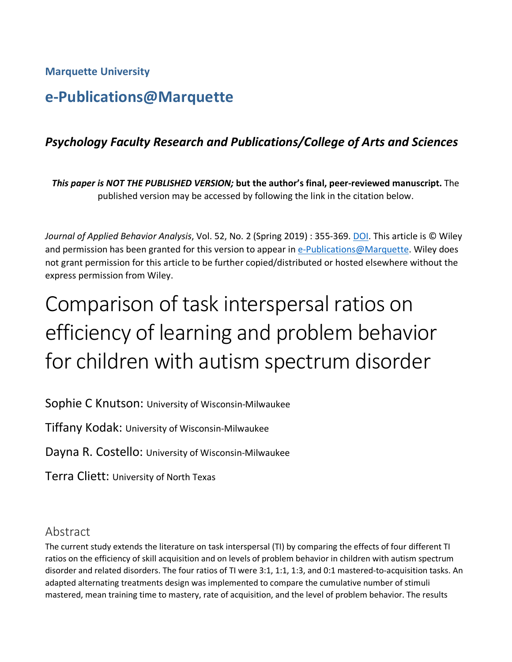**Marquette University**

# **e-Publications@Marquette**

## *Psychology Faculty Research and Publications/College of Arts and Sciences*

*This paper is NOT THE PUBLISHED VERSION;* **but the author's final, peer-reviewed manuscript.** The published version may be accessed by following the link in the citation below.

*Journal of Applied Behavior Analysis*, Vol. 52, No. 2 (Spring 2019) : 355-369. [DOI.](https://onlinelibrary.wiley.com/doi/full/10.1002/jaba.527) This article is © Wiley and permission has been granted for this version to appear in [e-Publications@Marquette.](http://epublications.marquette.edu/) Wiley does not grant permission for this article to be further copied/distributed or hosted elsewhere without the express permission from Wiley.

# Comparison of task interspersal ratios on efficiency of learning and problem behavior for children with autism spectrum disorder

Sophie C Knutson: University of Wisconsin-Milwaukee

Tiffany Kodak: University of Wisconsin-Milwaukee

Dayna R. Costello: University of Wisconsin-Milwaukee

Terra Cliett: University of North Texas

## Abstract

The current study extends the literature on task interspersal (TI) by comparing the effects of four different TI ratios on the efficiency of skill acquisition and on levels of problem behavior in children with autism spectrum disorder and related disorders. The four ratios of TI were 3:1, 1:1, 1:3, and 0:1 mastered-to-acquisition tasks. An adapted alternating treatments design was implemented to compare the cumulative number of stimuli mastered, mean training time to mastery, rate of acquisition, and the level of problem behavior. The results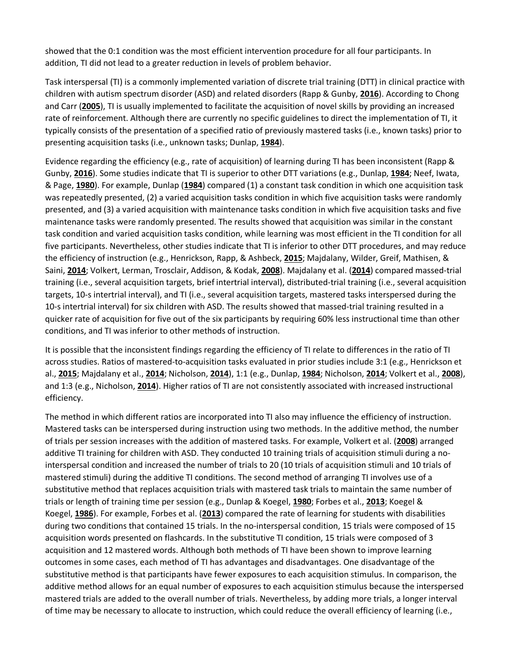showed that the 0:1 condition was the most efficient intervention procedure for all four participants. In addition, TI did not lead to a greater reduction in levels of problem behavior.

Task interspersal (TI) is a commonly implemented variation of discrete trial training (DTT) in clinical practice with children with autism spectrum disorder (ASD) and related disorders (Rapp & Gunby, **[2016](https://0-onlinelibrary-wiley-com.libus.csd.mu.edu/doi/10.1002/jaba.527#jaba527-bib-0020)**). According to Chong and Carr (**[2005](https://0-onlinelibrary-wiley-com.libus.csd.mu.edu/doi/10.1002/jaba.527#jaba527-bib-0003)**), TI is usually implemented to facilitate the acquisition of novel skills by providing an increased rate of reinforcement. Although there are currently no specific guidelines to direct the implementation of TI, it typically consists of the presentation of a specified ratio of previously mastered tasks (i.e., known tasks) prior to presenting acquisition tasks (i.e., unknown tasks; Dunlap, **[1984](https://0-onlinelibrary-wiley-com.libus.csd.mu.edu/doi/10.1002/jaba.527#jaba527-bib-0005)**).

Evidence regarding the efficiency (e.g., rate of acquisition) of learning during TI has been inconsistent (Rapp & Gunby, **[2016](https://0-onlinelibrary-wiley-com.libus.csd.mu.edu/doi/10.1002/jaba.527#jaba527-bib-0020)**). Some studies indicate that TI is superior to other DTT variations (e.g., Dunlap, **[1984](https://0-onlinelibrary-wiley-com.libus.csd.mu.edu/doi/10.1002/jaba.527#jaba527-bib-0005)**; Neef, Iwata, & Page, **[1980](https://0-onlinelibrary-wiley-com.libus.csd.mu.edu/doi/10.1002/jaba.527#jaba527-bib-0019)**). For example, Dunlap (**[1984](https://0-onlinelibrary-wiley-com.libus.csd.mu.edu/doi/10.1002/jaba.527#jaba527-bib-0005)**) compared (1) a constant task condition in which one acquisition task was repeatedly presented, (2) a varied acquisition tasks condition in which five acquisition tasks were randomly presented, and (3) a varied acquisition with maintenance tasks condition in which five acquisition tasks and five maintenance tasks were randomly presented. The results showed that acquisition was similar in the constant task condition and varied acquisition tasks condition, while learning was most efficient in the TI condition for all five participants. Nevertheless, other studies indicate that TI is inferior to other DTT procedures, and may reduce the efficiency of instruction (e.g., Henrickson, Rapp, & Ashbeck, **[2015](https://0-onlinelibrary-wiley-com.libus.csd.mu.edu/doi/10.1002/jaba.527#jaba527-bib-0010)**; Majdalany, Wilder, Greif, Mathisen, & Saini, **[2014](https://0-onlinelibrary-wiley-com.libus.csd.mu.edu/doi/10.1002/jaba.527#jaba527-bib-0015)**; Volkert, Lerman, Trosclair, Addison, & Kodak, **[2008](https://0-onlinelibrary-wiley-com.libus.csd.mu.edu/doi/10.1002/jaba.527#jaba527-bib-0023)**). Majdalany et al. (**[2014](https://0-onlinelibrary-wiley-com.libus.csd.mu.edu/doi/10.1002/jaba.527#jaba527-bib-0015)**) compared massed-trial training (i.e., several acquisition targets, brief intertrial interval), distributed-trial training (i.e., several acquisition targets, 10-s intertrial interval), and TI (i.e., several acquisition targets, mastered tasks interspersed during the 10-s intertrial interval) for six children with ASD. The results showed that massed-trial training resulted in a quicker rate of acquisition for five out of the six participants by requiring 60% less instructional time than other conditions, and TI was inferior to other methods of instruction.

It is possible that the inconsistent findings regarding the efficiency of TI relate to differences in the ratio of TI across studies. Ratios of mastered-to-acquisition tasks evaluated in prior studies include 3:1 (e.g., Henrickson et al., **[2015](https://0-onlinelibrary-wiley-com.libus.csd.mu.edu/doi/10.1002/jaba.527#jaba527-bib-0010)**; Majdalany et al., **[2014](https://0-onlinelibrary-wiley-com.libus.csd.mu.edu/doi/10.1002/jaba.527#jaba527-bib-0015)**; Nicholson, **[2014](https://0-onlinelibrary-wiley-com.libus.csd.mu.edu/doi/10.1002/jaba.527#jaba527-bib-0018)**), 1:1 (e.g., Dunlap, **[1984](https://0-onlinelibrary-wiley-com.libus.csd.mu.edu/doi/10.1002/jaba.527#jaba527-bib-0005)**; Nicholson, **[2014](https://0-onlinelibrary-wiley-com.libus.csd.mu.edu/doi/10.1002/jaba.527#jaba527-bib-0018)**; Volkert et al., **[2008](https://0-onlinelibrary-wiley-com.libus.csd.mu.edu/doi/10.1002/jaba.527#jaba527-bib-0023)**), and 1:3 (e.g., Nicholson, **[2014](https://0-onlinelibrary-wiley-com.libus.csd.mu.edu/doi/10.1002/jaba.527#jaba527-bib-0018)**). Higher ratios of TI are not consistently associated with increased instructional efficiency.

The method in which different ratios are incorporated into TI also may influence the efficiency of instruction. Mastered tasks can be interspersed during instruction using two methods. In the additive method, the number of trials per session increases with the addition of mastered tasks. For example, Volkert et al. (**[2008](https://0-onlinelibrary-wiley-com.libus.csd.mu.edu/doi/10.1002/jaba.527#jaba527-bib-0023)**) arranged additive TI training for children with ASD. They conducted 10 training trials of acquisition stimuli during a nointerspersal condition and increased the number of trials to 20 (10 trials of acquisition stimuli and 10 trials of mastered stimuli) during the additive TI conditions. The second method of arranging TI involves use of a substitutive method that replaces acquisition trials with mastered task trials to maintain the same number of trials or length of training time per session (e.g., Dunlap & Koegel, **[1980](https://0-onlinelibrary-wiley-com.libus.csd.mu.edu/doi/10.1002/jaba.527#jaba527-bib-0006)**; Forbes et al., **[2013](https://0-onlinelibrary-wiley-com.libus.csd.mu.edu/doi/10.1002/jaba.527#jaba527-bib-0007)**; Koegel & Koegel, **[1986](https://0-onlinelibrary-wiley-com.libus.csd.mu.edu/doi/10.1002/jaba.527#jaba527-bib-0014)**). For example, Forbes et al. (**[2013](https://0-onlinelibrary-wiley-com.libus.csd.mu.edu/doi/10.1002/jaba.527#jaba527-bib-0007)**) compared the rate of learning for students with disabilities during two conditions that contained 15 trials. In the no-interspersal condition, 15 trials were composed of 15 acquisition words presented on flashcards. In the substitutive TI condition, 15 trials were composed of 3 acquisition and 12 mastered words. Although both methods of TI have been shown to improve learning outcomes in some cases, each method of TI has advantages and disadvantages. One disadvantage of the substitutive method is that participants have fewer exposures to each acquisition stimulus. In comparison, the additive method allows for an equal number of exposures to each acquisition stimulus because the interspersed mastered trials are added to the overall number of trials. Nevertheless, by adding more trials, a longer interval of time may be necessary to allocate to instruction, which could reduce the overall efficiency of learning (i.e.,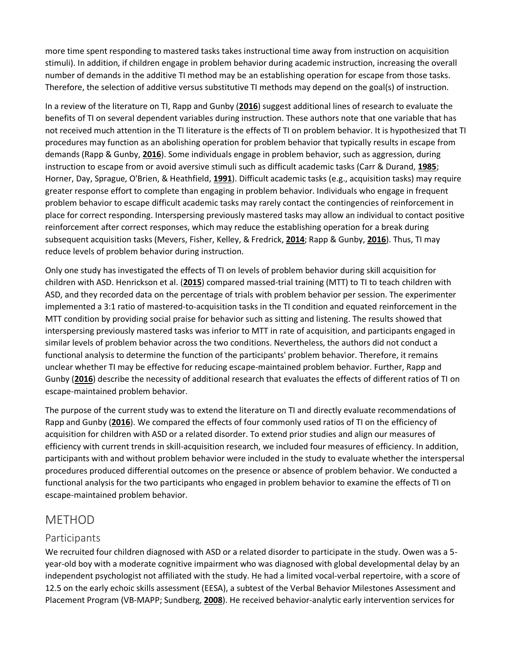more time spent responding to mastered tasks takes instructional time away from instruction on acquisition stimuli). In addition, if children engage in problem behavior during academic instruction, increasing the overall number of demands in the additive TI method may be an establishing operation for escape from those tasks. Therefore, the selection of additive versus substitutive TI methods may depend on the goal(s) of instruction.

In a review of the literature on TI, Rapp and Gunby (**[2016](https://0-onlinelibrary-wiley-com.libus.csd.mu.edu/doi/10.1002/jaba.527#jaba527-bib-0020)**) suggest additional lines of research to evaluate the benefits of TI on several dependent variables during instruction. These authors note that one variable that has not received much attention in the TI literature is the effects of TI on problem behavior. It is hypothesized that TI procedures may function as an abolishing operation for problem behavior that typically results in escape from demands (Rapp & Gunby, **[2016](https://0-onlinelibrary-wiley-com.libus.csd.mu.edu/doi/10.1002/jaba.527#jaba527-bib-0020)**). Some individuals engage in problem behavior, such as aggression, during instruction to escape from or avoid aversive stimuli such as difficult academic tasks (Carr & Durand, **[1985](https://0-onlinelibrary-wiley-com.libus.csd.mu.edu/doi/10.1002/jaba.527#jaba527-bib-0001)**; Horner, Day, Sprague, O'Brien, & Heathfield, **[1991](https://0-onlinelibrary-wiley-com.libus.csd.mu.edu/doi/10.1002/jaba.527#jaba527-bib-0011)**). Difficult academic tasks (e.g., acquisition tasks) may require greater response effort to complete than engaging in problem behavior. Individuals who engage in frequent problem behavior to escape difficult academic tasks may rarely contact the contingencies of reinforcement in place for correct responding. Interspersing previously mastered tasks may allow an individual to contact positive reinforcement after correct responses, which may reduce the establishing operation for a break during subsequent acquisition tasks (Mevers, Fisher, Kelley, & Fredrick, **[2014](https://0-onlinelibrary-wiley-com.libus.csd.mu.edu/doi/10.1002/jaba.527#jaba527-bib-0016)**; Rapp & Gunby, **[2016](https://0-onlinelibrary-wiley-com.libus.csd.mu.edu/doi/10.1002/jaba.527#jaba527-bib-0020)**). Thus, TI may reduce levels of problem behavior during instruction.

Only one study has investigated the effects of TI on levels of problem behavior during skill acquisition for children with ASD. Henrickson et al. (**[2015](https://0-onlinelibrary-wiley-com.libus.csd.mu.edu/doi/10.1002/jaba.527#jaba527-bib-0010)**) compared massed-trial training (MTT) to TI to teach children with ASD, and they recorded data on the percentage of trials with problem behavior per session. The experimenter implemented a 3:1 ratio of mastered-to-acquisition tasks in the TI condition and equated reinforcement in the MTT condition by providing social praise for behavior such as sitting and listening. The results showed that interspersing previously mastered tasks was inferior to MTT in rate of acquisition, and participants engaged in similar levels of problem behavior across the two conditions. Nevertheless, the authors did not conduct a functional analysis to determine the function of the participants' problem behavior. Therefore, it remains unclear whether TI may be effective for reducing escape-maintained problem behavior. Further, Rapp and Gunby (**[2016](https://0-onlinelibrary-wiley-com.libus.csd.mu.edu/doi/10.1002/jaba.527#jaba527-bib-0020)**) describe the necessity of additional research that evaluates the effects of different ratios of TI on escape-maintained problem behavior.

The purpose of the current study was to extend the literature on TI and directly evaluate recommendations of Rapp and Gunby (**[2016](https://0-onlinelibrary-wiley-com.libus.csd.mu.edu/doi/10.1002/jaba.527#jaba527-bib-0020)**). We compared the effects of four commonly used ratios of TI on the efficiency of acquisition for children with ASD or a related disorder. To extend prior studies and align our measures of efficiency with current trends in skill-acquisition research, we included four measures of efficiency. In addition, participants with and without problem behavior were included in the study to evaluate whether the interspersal procedures produced differential outcomes on the presence or absence of problem behavior. We conducted a functional analysis for the two participants who engaged in problem behavior to examine the effects of TI on escape-maintained problem behavior.

## METHOD

#### Participants

We recruited four children diagnosed with ASD or a related disorder to participate in the study. Owen was a 5 year-old boy with a moderate cognitive impairment who was diagnosed with global developmental delay by an independent psychologist not affiliated with the study. He had a limited vocal-verbal repertoire, with a score of 12.5 on the early echoic skills assessment (EESA), a subtest of the Verbal Behavior Milestones Assessment and Placement Program (VB-MAPP; Sundberg, **[2008](https://0-onlinelibrary-wiley-com.libus.csd.mu.edu/doi/10.1002/jaba.527#jaba527-bib-0022)**). He received behavior-analytic early intervention services for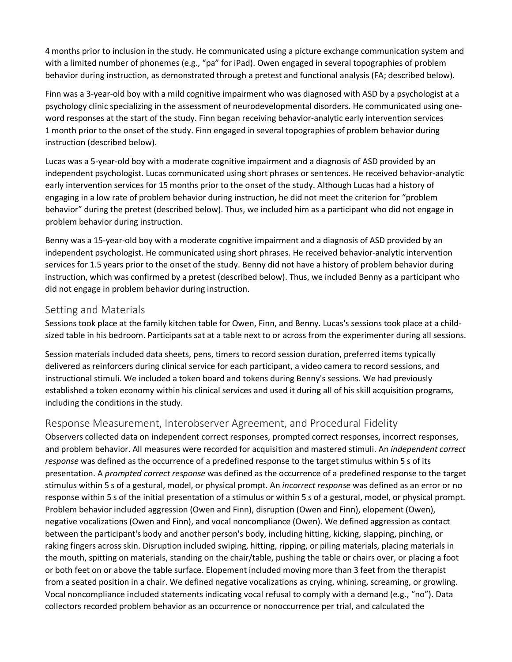4 months prior to inclusion in the study. He communicated using a picture exchange communication system and with a limited number of phonemes (e.g., "pa" for iPad). Owen engaged in several topographies of problem behavior during instruction, as demonstrated through a pretest and functional analysis (FA; described below).

Finn was a 3-year-old boy with a mild cognitive impairment who was diagnosed with ASD by a psychologist at a psychology clinic specializing in the assessment of neurodevelopmental disorders. He communicated using oneword responses at the start of the study. Finn began receiving behavior-analytic early intervention services 1 month prior to the onset of the study. Finn engaged in several topographies of problem behavior during instruction (described below).

Lucas was a 5-year-old boy with a moderate cognitive impairment and a diagnosis of ASD provided by an independent psychologist. Lucas communicated using short phrases or sentences. He received behavior-analytic early intervention services for 15 months prior to the onset of the study. Although Lucas had a history of engaging in a low rate of problem behavior during instruction, he did not meet the criterion for "problem behavior" during the pretest (described below). Thus, we included him as a participant who did not engage in problem behavior during instruction.

Benny was a 15-year-old boy with a moderate cognitive impairment and a diagnosis of ASD provided by an independent psychologist. He communicated using short phrases. He received behavior-analytic intervention services for 1.5 years prior to the onset of the study. Benny did not have a history of problem behavior during instruction, which was confirmed by a pretest (described below). Thus, we included Benny as a participant who did not engage in problem behavior during instruction.

#### Setting and Materials

Sessions took place at the family kitchen table for Owen, Finn, and Benny. Lucas's sessions took place at a childsized table in his bedroom. Participants sat at a table next to or across from the experimenter during all sessions.

Session materials included data sheets, pens, timers to record session duration, preferred items typically delivered as reinforcers during clinical service for each participant, a video camera to record sessions, and instructional stimuli. We included a token board and tokens during Benny's sessions. We had previously established a token economy within his clinical services and used it during all of his skill acquisition programs, including the conditions in the study.

#### Response Measurement, Interobserver Agreement, and Procedural Fidelity

Observers collected data on independent correct responses, prompted correct responses, incorrect responses, and problem behavior. All measures were recorded for acquisition and mastered stimuli. An *independent correct response* was defined as the occurrence of a predefined response to the target stimulus within 5 s of its presentation. A *prompted correct response* was defined as the occurrence of a predefined response to the target stimulus within 5 s of a gestural, model, or physical prompt. An *incorrect response* was defined as an error or no response within 5 s of the initial presentation of a stimulus or within 5 s of a gestural, model, or physical prompt. Problem behavior included aggression (Owen and Finn), disruption (Owen and Finn), elopement (Owen), negative vocalizations (Owen and Finn), and vocal noncompliance (Owen). We defined aggression as contact between the participant's body and another person's body, including hitting, kicking, slapping, pinching, or raking fingers across skin. Disruption included swiping, hitting, ripping, or piling materials, placing materials in the mouth, spitting on materials, standing on the chair/table, pushing the table or chairs over, or placing a foot or both feet on or above the table surface. Elopement included moving more than 3 feet from the therapist from a seated position in a chair. We defined negative vocalizations as crying, whining, screaming, or growling. Vocal noncompliance included statements indicating vocal refusal to comply with a demand (e.g., "no"). Data collectors recorded problem behavior as an occurrence or nonoccurrence per trial, and calculated the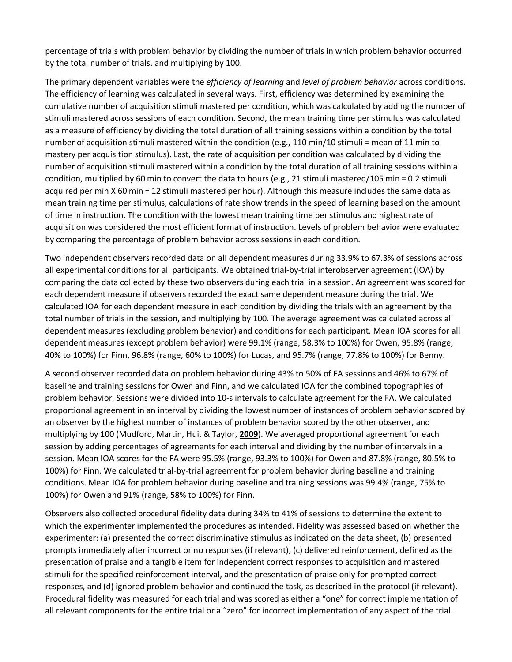percentage of trials with problem behavior by dividing the number of trials in which problem behavior occurred by the total number of trials, and multiplying by 100.

The primary dependent variables were the *efficiency of learning* and *level of problem behavior* across conditions. The efficiency of learning was calculated in several ways. First, efficiency was determined by examining the cumulative number of acquisition stimuli mastered per condition, which was calculated by adding the number of stimuli mastered across sessions of each condition. Second, the mean training time per stimulus was calculated as a measure of efficiency by dividing the total duration of all training sessions within a condition by the total number of acquisition stimuli mastered within the condition (e.g., 110 min/10 stimuli = mean of 11 min to mastery per acquisition stimulus). Last, the rate of acquisition per condition was calculated by dividing the number of acquisition stimuli mastered within a condition by the total duration of all training sessions within a condition, multiplied by 60 min to convert the data to hours (e.g., 21 stimuli mastered/105 min = 0.2 stimuli acquired per min X 60 min = 12 stimuli mastered per hour). Although this measure includes the same data as mean training time per stimulus, calculations of rate show trends in the speed of learning based on the amount of time in instruction. The condition with the lowest mean training time per stimulus and highest rate of acquisition was considered the most efficient format of instruction. Levels of problem behavior were evaluated by comparing the percentage of problem behavior across sessions in each condition.

Two independent observers recorded data on all dependent measures during 33.9% to 67.3% of sessions across all experimental conditions for all participants. We obtained trial-by-trial interobserver agreement (IOA) by comparing the data collected by these two observers during each trial in a session. An agreement was scored for each dependent measure if observers recorded the exact same dependent measure during the trial. We calculated IOA for each dependent measure in each condition by dividing the trials with an agreement by the total number of trials in the session, and multiplying by 100. The average agreement was calculated across all dependent measures (excluding problem behavior) and conditions for each participant. Mean IOA scores for all dependent measures (except problem behavior) were 99.1% (range, 58.3% to 100%) for Owen, 95.8% (range, 40% to 100%) for Finn, 96.8% (range, 60% to 100%) for Lucas, and 95.7% (range, 77.8% to 100%) for Benny.

A second observer recorded data on problem behavior during 43% to 50% of FA sessions and 46% to 67% of baseline and training sessions for Owen and Finn, and we calculated IOA for the combined topographies of problem behavior. Sessions were divided into 10-s intervals to calculate agreement for the FA. We calculated proportional agreement in an interval by dividing the lowest number of instances of problem behavior scored by an observer by the highest number of instances of problem behavior scored by the other observer, and multiplying by 100 (Mudford, Martin, Hui, & Taylor, **[2009](https://0-onlinelibrary-wiley-com.libus.csd.mu.edu/doi/10.1002/jaba.527#jaba527-bib-0017)**). We averaged proportional agreement for each session by adding percentages of agreements for each interval and dividing by the number of intervals in a session. Mean IOA scores for the FA were 95.5% (range, 93.3% to 100%) for Owen and 87.8% (range, 80.5% to 100%) for Finn. We calculated trial-by-trial agreement for problem behavior during baseline and training conditions. Mean IOA for problem behavior during baseline and training sessions was 99.4% (range, 75% to 100%) for Owen and 91% (range, 58% to 100%) for Finn.

Observers also collected procedural fidelity data during 34% to 41% of sessions to determine the extent to which the experimenter implemented the procedures as intended. Fidelity was assessed based on whether the experimenter: (a) presented the correct discriminative stimulus as indicated on the data sheet, (b) presented prompts immediately after incorrect or no responses (if relevant), (c) delivered reinforcement, defined as the presentation of praise and a tangible item for independent correct responses to acquisition and mastered stimuli for the specified reinforcement interval, and the presentation of praise only for prompted correct responses, and (d) ignored problem behavior and continued the task, as described in the protocol (if relevant). Procedural fidelity was measured for each trial and was scored as either a "one" for correct implementation of all relevant components for the entire trial or a "zero" for incorrect implementation of any aspect of the trial.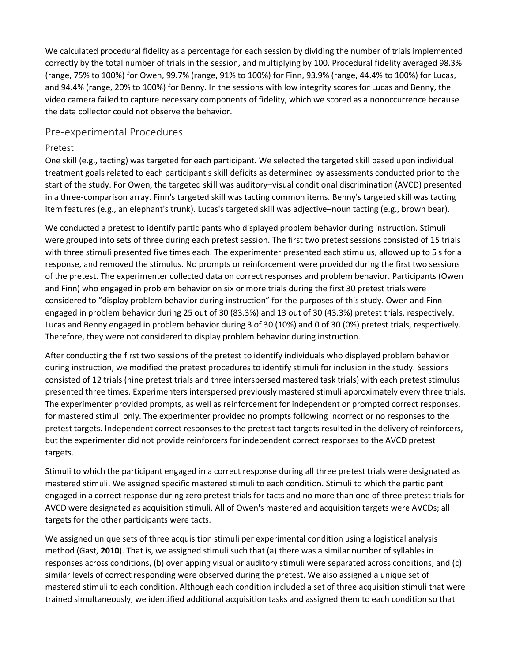We calculated procedural fidelity as a percentage for each session by dividing the number of trials implemented correctly by the total number of trials in the session, and multiplying by 100. Procedural fidelity averaged 98.3% (range, 75% to 100%) for Owen, 99.7% (range, 91% to 100%) for Finn, 93.9% (range, 44.4% to 100%) for Lucas, and 94.4% (range, 20% to 100%) for Benny. In the sessions with low integrity scores for Lucas and Benny, the video camera failed to capture necessary components of fidelity, which we scored as a nonoccurrence because the data collector could not observe the behavior.

#### Pre‐experimental Procedures

#### Pretest

One skill (e.g., tacting) was targeted for each participant. We selected the targeted skill based upon individual treatment goals related to each participant's skill deficits as determined by assessments conducted prior to the start of the study. For Owen, the targeted skill was auditory–visual conditional discrimination (AVCD) presented in a three-comparison array. Finn's targeted skill was tacting common items. Benny's targeted skill was tacting item features (e.g., an elephant's trunk). Lucas's targeted skill was adjective–noun tacting (e.g., brown bear).

We conducted a pretest to identify participants who displayed problem behavior during instruction. Stimuli were grouped into sets of three during each pretest session. The first two pretest sessions consisted of 15 trials with three stimuli presented five times each. The experimenter presented each stimulus, allowed up to 5 s for a response, and removed the stimulus. No prompts or reinforcement were provided during the first two sessions of the pretest. The experimenter collected data on correct responses and problem behavior. Participants (Owen and Finn) who engaged in problem behavior on six or more trials during the first 30 pretest trials were considered to "display problem behavior during instruction" for the purposes of this study. Owen and Finn engaged in problem behavior during 25 out of 30 (83.3%) and 13 out of 30 (43.3%) pretest trials, respectively. Lucas and Benny engaged in problem behavior during 3 of 30 (10%) and 0 of 30 (0%) pretest trials, respectively. Therefore, they were not considered to display problem behavior during instruction.

After conducting the first two sessions of the pretest to identify individuals who displayed problem behavior during instruction, we modified the pretest procedures to identify stimuli for inclusion in the study. Sessions consisted of 12 trials (nine pretest trials and three interspersed mastered task trials) with each pretest stimulus presented three times. Experimenters interspersed previously mastered stimuli approximately every three trials. The experimenter provided prompts, as well as reinforcement for independent or prompted correct responses, for mastered stimuli only. The experimenter provided no prompts following incorrect or no responses to the pretest targets. Independent correct responses to the pretest tact targets resulted in the delivery of reinforcers, but the experimenter did not provide reinforcers for independent correct responses to the AVCD pretest targets.

Stimuli to which the participant engaged in a correct response during all three pretest trials were designated as mastered stimuli. We assigned specific mastered stimuli to each condition. Stimuli to which the participant engaged in a correct response during zero pretest trials for tacts and no more than one of three pretest trials for AVCD were designated as acquisition stimuli. All of Owen's mastered and acquisition targets were AVCDs; all targets for the other participants were tacts.

We assigned unique sets of three acquisition stimuli per experimental condition using a logistical analysis method (Gast, **[2010](https://0-onlinelibrary-wiley-com.libus.csd.mu.edu/doi/10.1002/jaba.527#jaba527-bib-0009)**). That is, we assigned stimuli such that (a) there was a similar number of syllables in responses across conditions, (b) overlapping visual or auditory stimuli were separated across conditions, and (c) similar levels of correct responding were observed during the pretest. We also assigned a unique set of mastered stimuli to each condition. Although each condition included a set of three acquisition stimuli that were trained simultaneously, we identified additional acquisition tasks and assigned them to each condition so that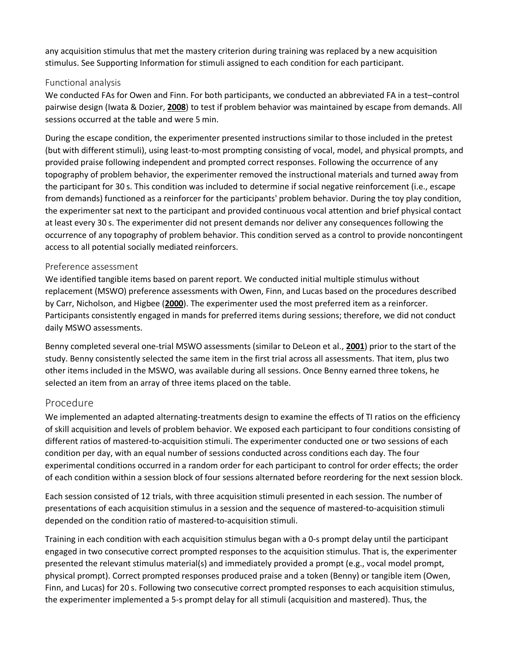any acquisition stimulus that met the mastery criterion during training was replaced by a new acquisition stimulus. See Supporting Information for stimuli assigned to each condition for each participant.

#### Functional analysis

We conducted FAs for Owen and Finn. For both participants, we conducted an abbreviated FA in a test–control pairwise design (Iwata & Dozier, **[2008](https://0-onlinelibrary-wiley-com.libus.csd.mu.edu/doi/10.1002/jaba.527#jaba527-bib-0012)**) to test if problem behavior was maintained by escape from demands. All sessions occurred at the table and were 5 min.

During the escape condition, the experimenter presented instructions similar to those included in the pretest (but with different stimuli), using least-to-most prompting consisting of vocal, model, and physical prompts, and provided praise following independent and prompted correct responses. Following the occurrence of any topography of problem behavior, the experimenter removed the instructional materials and turned away from the participant for 30 s. This condition was included to determine if social negative reinforcement (i.e., escape from demands) functioned as a reinforcer for the participants' problem behavior. During the toy play condition, the experimenter sat next to the participant and provided continuous vocal attention and brief physical contact at least every 30 s. The experimenter did not present demands nor deliver any consequences following the occurrence of any topography of problem behavior. This condition served as a control to provide noncontingent access to all potential socially mediated reinforcers.

#### Preference assessment

We identified tangible items based on parent report. We conducted initial multiple stimulus without replacement (MSWO) preference assessments with Owen, Finn, and Lucas based on the procedures described by Carr, Nicholson, and Higbee (**[2000](https://0-onlinelibrary-wiley-com.libus.csd.mu.edu/doi/10.1002/jaba.527#jaba527-bib-0002)**). The experimenter used the most preferred item as a reinforcer. Participants consistently engaged in mands for preferred items during sessions; therefore, we did not conduct daily MSWO assessments.

Benny completed several one-trial MSWO assessments (similar to DeLeon et al., **[2001](https://0-onlinelibrary-wiley-com.libus.csd.mu.edu/doi/10.1002/jaba.527#jaba527-bib-0004)**) prior to the start of the study. Benny consistently selected the same item in the first trial across all assessments. That item, plus two other items included in the MSWO, was available during all sessions. Once Benny earned three tokens, he selected an item from an array of three items placed on the table.

#### Procedure

We implemented an adapted alternating-treatments design to examine the effects of TI ratios on the efficiency of skill acquisition and levels of problem behavior. We exposed each participant to four conditions consisting of different ratios of mastered-to-acquisition stimuli. The experimenter conducted one or two sessions of each condition per day, with an equal number of sessions conducted across conditions each day. The four experimental conditions occurred in a random order for each participant to control for order effects; the order of each condition within a session block of four sessions alternated before reordering for the next session block.

Each session consisted of 12 trials, with three acquisition stimuli presented in each session. The number of presentations of each acquisition stimulus in a session and the sequence of mastered-to-acquisition stimuli depended on the condition ratio of mastered-to-acquisition stimuli.

Training in each condition with each acquisition stimulus began with a 0-s prompt delay until the participant engaged in two consecutive correct prompted responses to the acquisition stimulus. That is, the experimenter presented the relevant stimulus material(s) and immediately provided a prompt (e.g., vocal model prompt, physical prompt). Correct prompted responses produced praise and a token (Benny) or tangible item (Owen, Finn, and Lucas) for 20 s. Following two consecutive correct prompted responses to each acquisition stimulus, the experimenter implemented a 5-s prompt delay for all stimuli (acquisition and mastered). Thus, the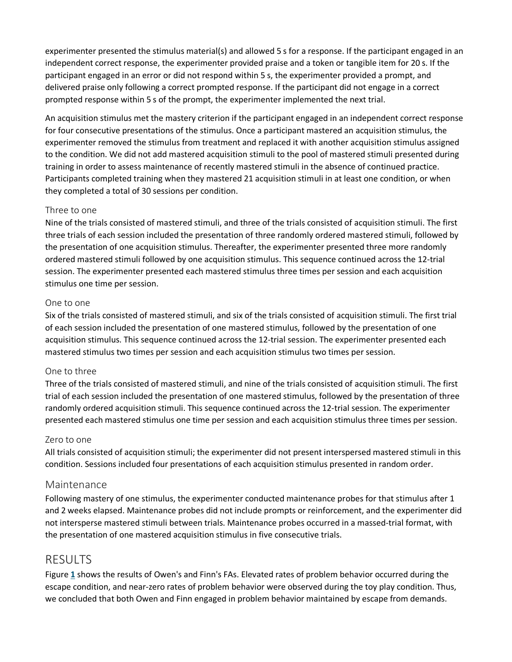experimenter presented the stimulus material(s) and allowed 5 s for a response. If the participant engaged in an independent correct response, the experimenter provided praise and a token or tangible item for 20 s. If the participant engaged in an error or did not respond within 5 s, the experimenter provided a prompt, and delivered praise only following a correct prompted response. If the participant did not engage in a correct prompted response within 5 s of the prompt, the experimenter implemented the next trial.

An acquisition stimulus met the mastery criterion if the participant engaged in an independent correct response for four consecutive presentations of the stimulus. Once a participant mastered an acquisition stimulus, the experimenter removed the stimulus from treatment and replaced it with another acquisition stimulus assigned to the condition. We did not add mastered acquisition stimuli to the pool of mastered stimuli presented during training in order to assess maintenance of recently mastered stimuli in the absence of continued practice. Participants completed training when they mastered 21 acquisition stimuli in at least one condition, or when they completed a total of 30 sessions per condition.

#### Three to one

Nine of the trials consisted of mastered stimuli, and three of the trials consisted of acquisition stimuli. The first three trials of each session included the presentation of three randomly ordered mastered stimuli, followed by the presentation of one acquisition stimulus. Thereafter, the experimenter presented three more randomly ordered mastered stimuli followed by one acquisition stimulus. This sequence continued across the 12-trial session. The experimenter presented each mastered stimulus three times per session and each acquisition stimulus one time per session.

#### One to one

Six of the trials consisted of mastered stimuli, and six of the trials consisted of acquisition stimuli. The first trial of each session included the presentation of one mastered stimulus, followed by the presentation of one acquisition stimulus. This sequence continued across the 12-trial session. The experimenter presented each mastered stimulus two times per session and each acquisition stimulus two times per session.

#### One to three

Three of the trials consisted of mastered stimuli, and nine of the trials consisted of acquisition stimuli. The first trial of each session included the presentation of one mastered stimulus, followed by the presentation of three randomly ordered acquisition stimuli. This sequence continued across the 12-trial session. The experimenter presented each mastered stimulus one time per session and each acquisition stimulus three times per session.

#### Zero to one

All trials consisted of acquisition stimuli; the experimenter did not present interspersed mastered stimuli in this condition. Sessions included four presentations of each acquisition stimulus presented in random order.

#### Maintenance

Following mastery of one stimulus, the experimenter conducted maintenance probes for that stimulus after 1 and 2 weeks elapsed. Maintenance probes did not include prompts or reinforcement, and the experimenter did not intersperse mastered stimuli between trials. Maintenance probes occurred in a massed-trial format, with the presentation of one mastered acquisition stimulus in five consecutive trials.

## RESULTS

Figure **[1](https://0-onlinelibrary-wiley-com.libus.csd.mu.edu/doi/10.1002/jaba.527#jaba527-fig-0001)** shows the results of Owen's and Finn's FAs. Elevated rates of problem behavior occurred during the escape condition, and near-zero rates of problem behavior were observed during the toy play condition. Thus, we concluded that both Owen and Finn engaged in problem behavior maintained by escape from demands.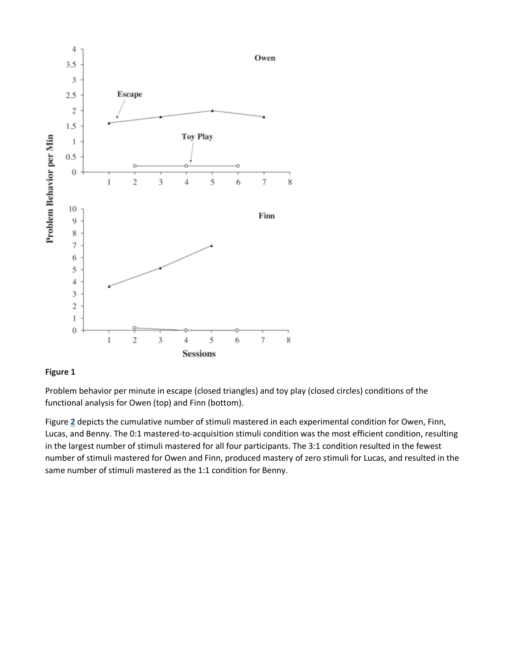

Problem behavior per minute in escape (closed triangles) and toy play (closed circles) conditions of the functional analysis for Owen (top) and Finn (bottom).

Figure **[2](https://0-onlinelibrary-wiley-com.libus.csd.mu.edu/doi/10.1002/jaba.527#jaba527-fig-0002)** depicts the cumulative number of stimuli mastered in each experimental condition for Owen, Finn, Lucas, and Benny. The 0:1 mastered-to-acquisition stimuli condition was the most efficient condition, resulting in the largest number of stimuli mastered for all four participants. The 3:1 condition resulted in the fewest number of stimuli mastered for Owen and Finn, produced mastery of zero stimuli for Lucas, and resulted in the same number of stimuli mastered as the 1:1 condition for Benny.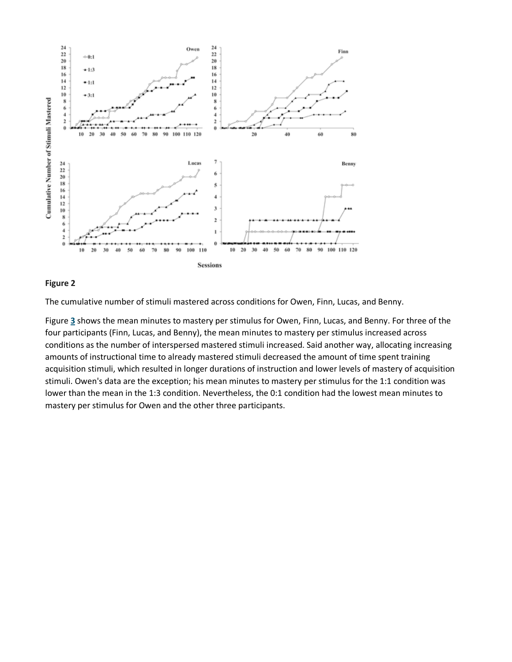

The cumulative number of stimuli mastered across conditions for Owen, Finn, Lucas, and Benny.

Figure **[3](https://0-onlinelibrary-wiley-com.libus.csd.mu.edu/doi/10.1002/jaba.527#jaba527-fig-0003)** shows the mean minutes to mastery per stimulus for Owen, Finn, Lucas, and Benny. For three of the four participants (Finn, Lucas, and Benny), the mean minutes to mastery per stimulus increased across conditions as the number of interspersed mastered stimuli increased. Said another way, allocating increasing amounts of instructional time to already mastered stimuli decreased the amount of time spent training acquisition stimuli, which resulted in longer durations of instruction and lower levels of mastery of acquisition stimuli. Owen's data are the exception; his mean minutes to mastery per stimulus for the 1:1 condition was lower than the mean in the 1:3 condition. Nevertheless, the 0:1 condition had the lowest mean minutes to mastery per stimulus for Owen and the other three participants.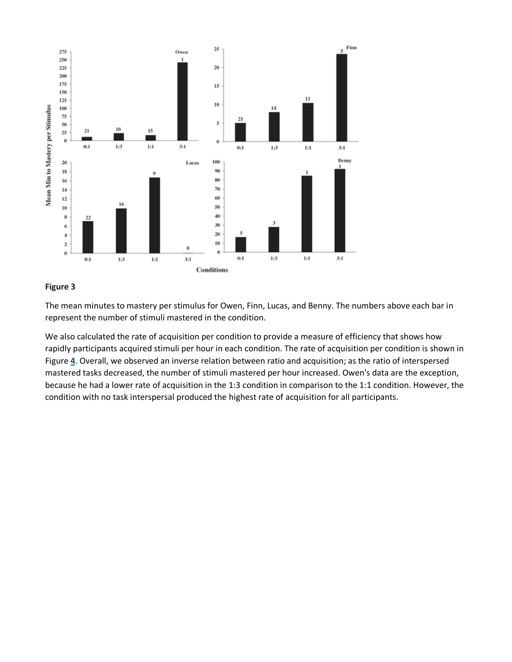

The mean minutes to mastery per stimulus for Owen, Finn, Lucas, and Benny. The numbers above each bar in represent the number of stimuli mastered in the condition.

We also calculated the rate of acquisition per condition to provide a measure of efficiency that shows how rapidly participants acquired stimuli per hour in each condition. The rate of acquisition per condition is shown in Figure **[4](https://0-onlinelibrary-wiley-com.libus.csd.mu.edu/doi/10.1002/jaba.527#jaba527-fig-0004)**. Overall, we observed an inverse relation between ratio and acquisition; as the ratio of interspersed mastered tasks decreased, the number of stimuli mastered per hour increased. Owen's data are the exception, because he had a lower rate of acquisition in the 1:3 condition in comparison to the 1:1 condition. However, the condition with no task interspersal produced the highest rate of acquisition for all participants.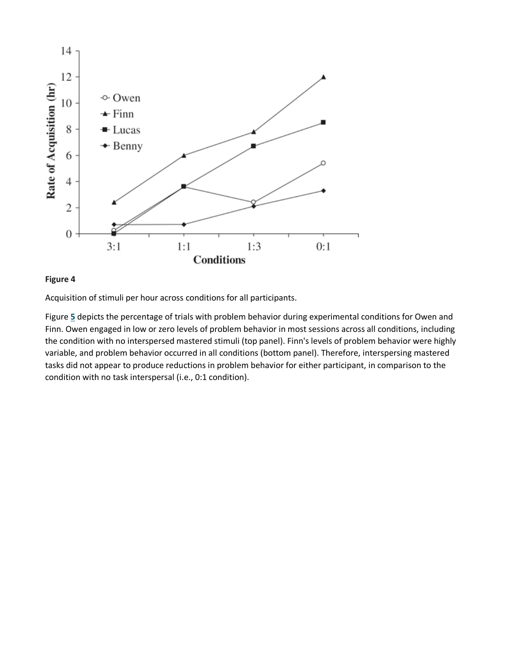

Acquisition of stimuli per hour across conditions for all participants.

Figure **[5](https://0-onlinelibrary-wiley-com.libus.csd.mu.edu/doi/10.1002/jaba.527#jaba527-fig-0005)** depicts the percentage of trials with problem behavior during experimental conditions for Owen and Finn. Owen engaged in low or zero levels of problem behavior in most sessions across all conditions, including the condition with no interspersed mastered stimuli (top panel). Finn's levels of problem behavior were highly variable, and problem behavior occurred in all conditions (bottom panel). Therefore, interspersing mastered tasks did not appear to produce reductions in problem behavior for either participant, in comparison to the condition with no task interspersal (i.e., 0:1 condition).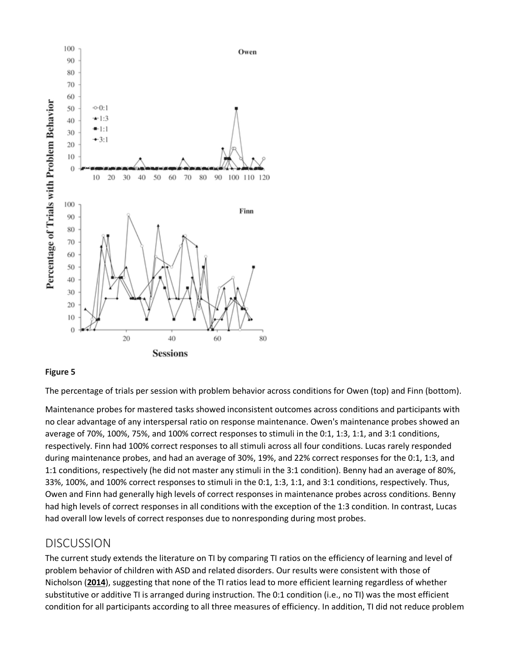

The percentage of trials per session with problem behavior across conditions for Owen (top) and Finn (bottom).

Maintenance probes for mastered tasks showed inconsistent outcomes across conditions and participants with no clear advantage of any interspersal ratio on response maintenance. Owen's maintenance probes showed an average of 70%, 100%, 75%, and 100% correct responses to stimuli in the 0:1, 1:3, 1:1, and 3:1 conditions, respectively. Finn had 100% correct responses to all stimuli across all four conditions. Lucas rarely responded during maintenance probes, and had an average of 30%, 19%, and 22% correct responses for the 0:1, 1:3, and 1:1 conditions, respectively (he did not master any stimuli in the 3:1 condition). Benny had an average of 80%, 33%, 100%, and 100% correct responses to stimuli in the 0:1, 1:3, 1:1, and 3:1 conditions, respectively. Thus, Owen and Finn had generally high levels of correct responses in maintenance probes across conditions. Benny had high levels of correct responses in all conditions with the exception of the 1:3 condition. In contrast, Lucas had overall low levels of correct responses due to nonresponding during most probes.

#### **DISCUSSION**

The current study extends the literature on TI by comparing TI ratios on the efficiency of learning and level of problem behavior of children with ASD and related disorders. Our results were consistent with those of Nicholson (**[2014](https://0-onlinelibrary-wiley-com.libus.csd.mu.edu/doi/10.1002/jaba.527#jaba527-bib-0018)**), suggesting that none of the TI ratios lead to more efficient learning regardless of whether substitutive or additive TI is arranged during instruction. The 0:1 condition (i.e., no TI) was the most efficient condition for all participants according to all three measures of efficiency. In addition, TI did not reduce problem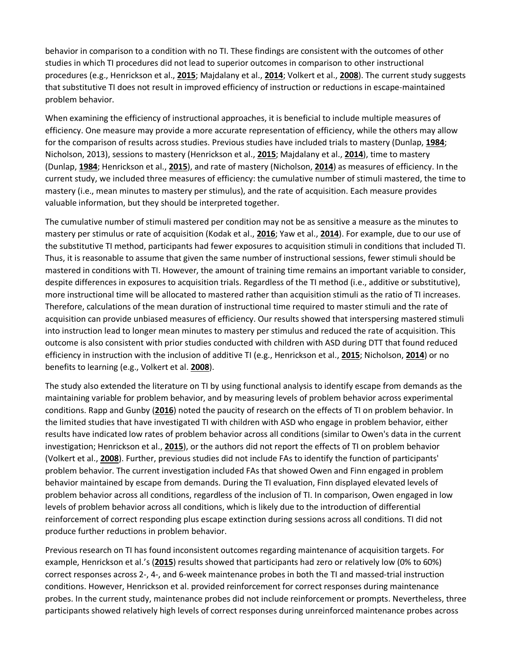behavior in comparison to a condition with no TI. These findings are consistent with the outcomes of other studies in which TI procedures did not lead to superior outcomes in comparison to other instructional procedures (e.g., Henrickson et al., **[2015](https://0-onlinelibrary-wiley-com.libus.csd.mu.edu/doi/10.1002/jaba.527#jaba527-bib-0010)**; Majdalany et al., **[2014](https://0-onlinelibrary-wiley-com.libus.csd.mu.edu/doi/10.1002/jaba.527#jaba527-bib-0015)**; Volkert et al., **[2008](https://0-onlinelibrary-wiley-com.libus.csd.mu.edu/doi/10.1002/jaba.527#jaba527-bib-0023)**). The current study suggests that substitutive TI does not result in improved efficiency of instruction or reductions in escape-maintained problem behavior.

When examining the efficiency of instructional approaches, it is beneficial to include multiple measures of efficiency. One measure may provide a more accurate representation of efficiency, while the others may allow for the comparison of results across studies. Previous studies have included trials to mastery (Dunlap, **[1984](https://0-onlinelibrary-wiley-com.libus.csd.mu.edu/doi/10.1002/jaba.527#jaba527-bib-0005)**; Nicholson, 2013), sessions to mastery (Henrickson et al., **[2015](https://0-onlinelibrary-wiley-com.libus.csd.mu.edu/doi/10.1002/jaba.527#jaba527-bib-0010)**; Majdalany et al., **[2014](https://0-onlinelibrary-wiley-com.libus.csd.mu.edu/doi/10.1002/jaba.527#jaba527-bib-0015)**), time to mastery (Dunlap, **[1984](https://0-onlinelibrary-wiley-com.libus.csd.mu.edu/doi/10.1002/jaba.527#jaba527-bib-0005)**; Henrickson et al., **[2015](https://0-onlinelibrary-wiley-com.libus.csd.mu.edu/doi/10.1002/jaba.527#jaba527-bib-0010)**), and rate of mastery (Nicholson, **[2014](https://0-onlinelibrary-wiley-com.libus.csd.mu.edu/doi/10.1002/jaba.527#jaba527-bib-0018)**) as measures of efficiency. In the current study, we included three measures of efficiency: the cumulative number of stimuli mastered, the time to mastery (i.e., mean minutes to mastery per stimulus), and the rate of acquisition. Each measure provides valuable information, but they should be interpreted together.

The cumulative number of stimuli mastered per condition may not be as sensitive a measure as the minutes to mastery per stimulus or rate of acquisition (Kodak et al., **[2016](https://0-onlinelibrary-wiley-com.libus.csd.mu.edu/doi/10.1002/jaba.527#jaba527-bib-0013)**; Yaw et al., **[2014](https://0-onlinelibrary-wiley-com.libus.csd.mu.edu/doi/10.1002/jaba.527#jaba527-bib-0024)**). For example, due to our use of the substitutive TI method, participants had fewer exposures to acquisition stimuli in conditions that included TI. Thus, it is reasonable to assume that given the same number of instructional sessions, fewer stimuli should be mastered in conditions with TI. However, the amount of training time remains an important variable to consider, despite differences in exposures to acquisition trials. Regardless of the TI method (i.e., additive or substitutive), more instructional time will be allocated to mastered rather than acquisition stimuli as the ratio of TI increases. Therefore, calculations of the mean duration of instructional time required to master stimuli and the rate of acquisition can provide unbiased measures of efficiency. Our results showed that interspersing mastered stimuli into instruction lead to longer mean minutes to mastery per stimulus and reduced the rate of acquisition. This outcome is also consistent with prior studies conducted with children with ASD during DTT that found reduced efficiency in instruction with the inclusion of additive TI (e.g., Henrickson et al., **[2015](https://0-onlinelibrary-wiley-com.libus.csd.mu.edu/doi/10.1002/jaba.527#jaba527-bib-0010)**; Nicholson, **[2014](https://0-onlinelibrary-wiley-com.libus.csd.mu.edu/doi/10.1002/jaba.527#jaba527-bib-0018)**) or no benefits to learning (e.g., Volkert et al. **[2008](https://0-onlinelibrary-wiley-com.libus.csd.mu.edu/doi/10.1002/jaba.527#jaba527-bib-0023)**).

The study also extended the literature on TI by using functional analysis to identify escape from demands as the maintaining variable for problem behavior, and by measuring levels of problem behavior across experimental conditions. Rapp and Gunby (**[2016](https://0-onlinelibrary-wiley-com.libus.csd.mu.edu/doi/10.1002/jaba.527#jaba527-bib-0020)**) noted the paucity of research on the effects of TI on problem behavior. In the limited studies that have investigated TI with children with ASD who engage in problem behavior, either results have indicated low rates of problem behavior across all conditions (similar to Owen's data in the current investigation; Henrickson et al., **[2015](https://0-onlinelibrary-wiley-com.libus.csd.mu.edu/doi/10.1002/jaba.527#jaba527-bib-0010)**), or the authors did not report the effects of TI on problem behavior (Volkert et al., **[2008](https://0-onlinelibrary-wiley-com.libus.csd.mu.edu/doi/10.1002/jaba.527#jaba527-bib-0023)**). Further, previous studies did not include FAs to identify the function of participants' problem behavior. The current investigation included FAs that showed Owen and Finn engaged in problem behavior maintained by escape from demands. During the TI evaluation, Finn displayed elevated levels of problem behavior across all conditions, regardless of the inclusion of TI. In comparison, Owen engaged in low levels of problem behavior across all conditions, which is likely due to the introduction of differential reinforcement of correct responding plus escape extinction during sessions across all conditions. TI did not produce further reductions in problem behavior.

Previous research on TI has found inconsistent outcomes regarding maintenance of acquisition targets. For example, Henrickson et al.'s (**[2015](https://0-onlinelibrary-wiley-com.libus.csd.mu.edu/doi/10.1002/jaba.527#jaba527-bib-0010)**) results showed that participants had zero or relatively low (0% to 60%) correct responses across 2-, 4-, and 6-week maintenance probes in both the TI and massed-trial instruction conditions. However, Henrickson et al. provided reinforcement for correct responses during maintenance probes. In the current study, maintenance probes did not include reinforcement or prompts. Nevertheless, three participants showed relatively high levels of correct responses during unreinforced maintenance probes across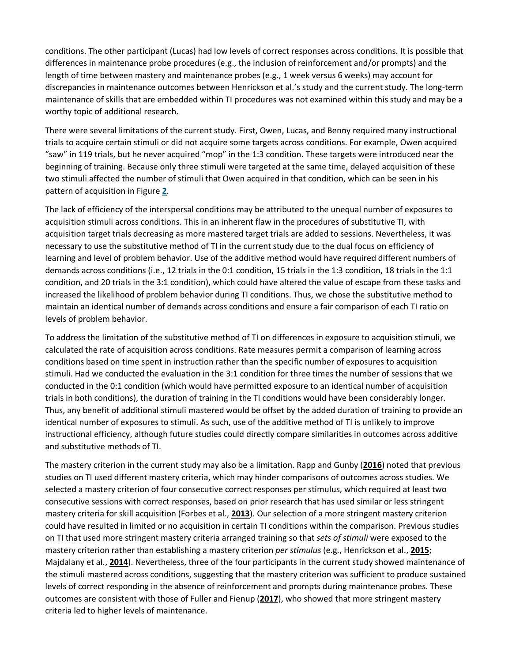conditions. The other participant (Lucas) had low levels of correct responses across conditions. It is possible that differences in maintenance probe procedures (e.g., the inclusion of reinforcement and/or prompts) and the length of time between mastery and maintenance probes (e.g., 1 week versus 6 weeks) may account for discrepancies in maintenance outcomes between Henrickson et al.'s study and the current study. The long-term maintenance of skills that are embedded within TI procedures was not examined within this study and may be a worthy topic of additional research.

There were several limitations of the current study. First, Owen, Lucas, and Benny required many instructional trials to acquire certain stimuli or did not acquire some targets across conditions. For example, Owen acquired "saw" in 119 trials, but he never acquired "mop" in the 1:3 condition. These targets were introduced near the beginning of training. Because only three stimuli were targeted at the same time, delayed acquisition of these two stimuli affected the number of stimuli that Owen acquired in that condition, which can be seen in his pattern of acquisition in Figure **[2](https://0-onlinelibrary-wiley-com.libus.csd.mu.edu/doi/10.1002/jaba.527#jaba527-fig-0002)**.

The lack of efficiency of the interspersal conditions may be attributed to the unequal number of exposures to acquisition stimuli across conditions. This in an inherent flaw in the procedures of substitutive TI, with acquisition target trials decreasing as more mastered target trials are added to sessions. Nevertheless, it was necessary to use the substitutive method of TI in the current study due to the dual focus on efficiency of learning and level of problem behavior. Use of the additive method would have required different numbers of demands across conditions (i.e., 12 trials in the 0:1 condition, 15 trials in the 1:3 condition, 18 trials in the 1:1 condition, and 20 trials in the 3:1 condition), which could have altered the value of escape from these tasks and increased the likelihood of problem behavior during TI conditions. Thus, we chose the substitutive method to maintain an identical number of demands across conditions and ensure a fair comparison of each TI ratio on levels of problem behavior.

To address the limitation of the substitutive method of TI on differences in exposure to acquisition stimuli, we calculated the rate of acquisition across conditions. Rate measures permit a comparison of learning across conditions based on time spent in instruction rather than the specific number of exposures to acquisition stimuli. Had we conducted the evaluation in the 3:1 condition for three times the number of sessions that we conducted in the 0:1 condition (which would have permitted exposure to an identical number of acquisition trials in both conditions), the duration of training in the TI conditions would have been considerably longer. Thus, any benefit of additional stimuli mastered would be offset by the added duration of training to provide an identical number of exposures to stimuli. As such, use of the additive method of TI is unlikely to improve instructional efficiency, although future studies could directly compare similarities in outcomes across additive and substitutive methods of TI.

The mastery criterion in the current study may also be a limitation. Rapp and Gunby (**[2016](https://0-onlinelibrary-wiley-com.libus.csd.mu.edu/doi/10.1002/jaba.527#jaba527-bib-0020)**) noted that previous studies on TI used different mastery criteria, which may hinder comparisons of outcomes across studies. We selected a mastery criterion of four consecutive correct responses per stimulus, which required at least two consecutive sessions with correct responses, based on prior research that has used similar or less stringent mastery criteria for skill acquisition (Forbes et al., **[2013](https://0-onlinelibrary-wiley-com.libus.csd.mu.edu/doi/10.1002/jaba.527#jaba527-bib-0007)**). Our selection of a more stringent mastery criterion could have resulted in limited or no acquisition in certain TI conditions within the comparison. Previous studies on TI that used more stringent mastery criteria arranged training so that *sets of stimuli* were exposed to the mastery criterion rather than establishing a mastery criterion *per stimulus* (e.g., Henrickson et al., **[2015](https://0-onlinelibrary-wiley-com.libus.csd.mu.edu/doi/10.1002/jaba.527#jaba527-bib-0010)**; Majdalany et al., **[2014](https://0-onlinelibrary-wiley-com.libus.csd.mu.edu/doi/10.1002/jaba.527#jaba527-bib-0015)**). Nevertheless, three of the four participants in the current study showed maintenance of the stimuli mastered across conditions, suggesting that the mastery criterion was sufficient to produce sustained levels of correct responding in the absence of reinforcement and prompts during maintenance probes. These outcomes are consistent with those of Fuller and Fienup (**[2017](https://0-onlinelibrary-wiley-com.libus.csd.mu.edu/doi/10.1002/jaba.527#jaba527-bib-0008)**), who showed that more stringent mastery criteria led to higher levels of maintenance.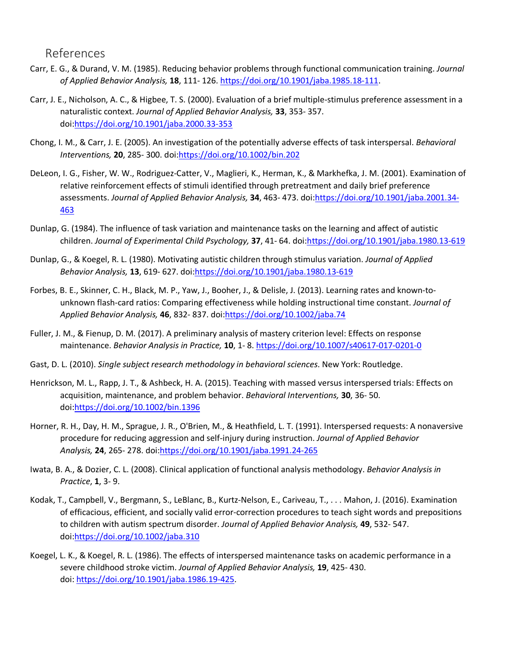References

- Carr, E. G., & Durand, V. M. (1985). Reducing behavior problems through functional communication training. *Journal of Applied Behavior Analysis,* **18**, 111- 126. [https://doi.org/10.1901/jaba.1985.18-111.](https://doi.org/10.1901/jaba.1985.18-111)
- Carr, J. E., Nicholson, A. C., & Higbee, T. S. (2000). Evaluation of a brief multiple-stimulus preference assessment in a naturalistic context. *Journal of Applied Behavior Analysis,* **33**, 353- 357. doi[:https://doi.org/10.1901/jaba.2000.33-353](https://doi.org/10.1901/jaba.2000.33-353)
- Chong, I. M., & Carr, J. E. (2005). An investigation of the potentially adverse effects of task interspersal. *Behavioral Interventions,* **20**, 285- 300. doi[:https://doi.org/10.1002/bin.202](https://doi.org/10.1002/bin.202)
- DeLeon, I. G., Fisher, W. W., Rodriguez-Catter, V., Maglieri, K., Herman, K., & Markhefka, J. M. (2001). Examination of relative reinforcement effects of stimuli identified through pretreatment and daily brief preference assessments. *Journal of Applied Behavior Analysis,* **34**, 463- 473. doi[:https://doi.org/10.1901/jaba.2001.34-](https://doi.org/10.1901/jaba.2001.34-463) [463](https://doi.org/10.1901/jaba.2001.34-463)
- Dunlap, G. (1984). The influence of task variation and maintenance tasks on the learning and affect of autistic children. *Journal of Experimental Child Psychology,* **37**, 41- 64. doi[:https://doi.org/10.1901/jaba.1980.13-619](https://doi.org/10.1901/jaba.1980.13-619)
- Dunlap, G., & Koegel, R. L. (1980). Motivating autistic children through stimulus variation. *Journal of Applied Behavior Analysis,* **13**, 619- 627. doi[:https://doi.org/10.1901/jaba.1980.13-619](https://doi.org/10.1901/jaba.1980.13-619)
- Forbes, B. E., Skinner, C. H., Black, M. P., Yaw, J., Booher, J., & Delisle, J. (2013). Learning rates and known-tounknown flash-card ratios: Comparing effectiveness while holding instructional time constant. *Journal of Applied Behavior Analysis,* **46**, 832- 837. doi[:https://doi.org/10.1002/jaba.74](https://doi.org/10.1002/jaba.74)
- Fuller, J. M., & Fienup, D. M. (2017). A preliminary analysis of mastery criterion level: Effects on response maintenance. *Behavior Analysis in Practice,* **10**, 1- 8. <https://doi.org/10.1007/s40617-017-0201-0>
- Gast, D. L. (2010). *Single subject research methodology in behavioral sciences*. New York: Routledge.
- Henrickson, M. L., Rapp, J. T., & Ashbeck, H. A. (2015). Teaching with massed versus interspersed trials: Effects on acquisition, maintenance, and problem behavior. *Behavioral Interventions,* **30**, 36- 50. doi[:https://doi.org/10.1002/bin.1396](https://doi.org/10.1002/bin.1396)
- Horner, R. H., Day, H. M., Sprague, J. R., O'Brien, M., & Heathfield, L. T. (1991). Interspersed requests: A nonaversive procedure for reducing aggression and self-injury during instruction. *Journal of Applied Behavior Analysis,* **24**, 265- 278. doi[:https://doi.org/10.1901/jaba.1991.24-265](https://doi.org/10.1901/jaba.1991.24-265)
- Iwata, B. A., & Dozier, C. L. (2008). Clinical application of functional analysis methodology. *Behavior Analysis in Practice*, **1**, 3- 9.
- Kodak, T., Campbell, V., Bergmann, S., LeBlanc, B., Kurtz-Nelson, E., Cariveau, T., . . . Mahon, J. (2016). Examination of efficacious, efficient, and socially valid error-correction procedures to teach sight words and prepositions to children with autism spectrum disorder. *Journal of Applied Behavior Analysis,* **49**, 532- 547. doi[:https://doi.org/10.1002/jaba.310](https://doi.org/10.1002/jaba.310)
- Koegel, L. K., & Koegel, R. L. (1986). The effects of interspersed maintenance tasks on academic performance in a severe childhood stroke victim. *Journal of Applied Behavior Analysis,* **19**, 425- 430. doi: [https://doi.org/10.1901/jaba.1986.19-425.](https://doi.org/10.1901/jaba.1986.19-425)